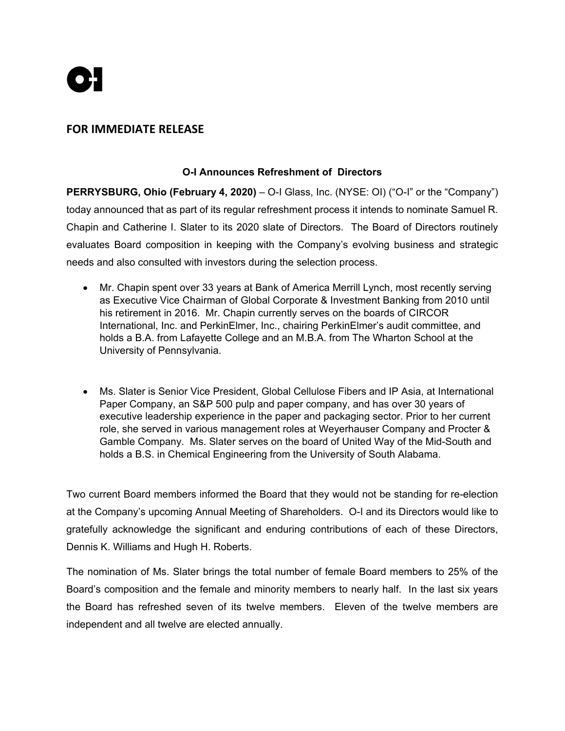

## **FOR IMMEDIATE RELEASE**

## **O-I Announces Refreshment of Directors**

**PERRYSBURG, Ohio (February 4, 2020)** *–* O-I Glass, Inc. (NYSE: OI) ("O-I" or the "Company") today announced that as part of its regular refreshment process it intends to nominate Samuel R. Chapin and Catherine I. Slater to its 2020 slate of Directors. The Board of Directors routinely evaluates Board composition in keeping with the Company's evolving business and strategic needs and also consulted with investors during the selection process.

- Mr. Chapin spent over 33 years at Bank of America Merrill Lynch, most recently serving as Executive Vice Chairman of Global Corporate & Investment Banking from 2010 until his retirement in 2016. Mr. Chapin currently serves on the boards of CIRCOR International, Inc. and PerkinElmer, Inc., chairing PerkinElmer's audit committee, and holds a B.A. from Lafayette College and an M.B.A. from The Wharton School at the University of Pennsylvania.
- Ms. Slater is Senior Vice President, Global Cellulose Fibers and IP Asia, at International Paper Company, an S&P 500 pulp and paper company, and has over 30 years of executive leadership experience in the paper and packaging sector. Prior to her current role, she served in various management roles at Weyerhauser Company and Procter & Gamble Company. Ms. Slater serves on the board of United Way of the Mid-South and holds a B.S. in Chemical Engineering from the University of South Alabama.

Two current Board members informed the Board that they would not be standing for re-election at the Company's upcoming Annual Meeting of Shareholders. O-I and its Directors would like to gratefully acknowledge the significant and enduring contributions of each of these Directors, Dennis K. Williams and Hugh H. Roberts.

The nomination of Ms. Slater brings the total number of female Board members to 25% of the Board's composition and the female and minority members to nearly half. In the last six years the Board has refreshed seven of its twelve members. Eleven of the twelve members are independent and all twelve are elected annually.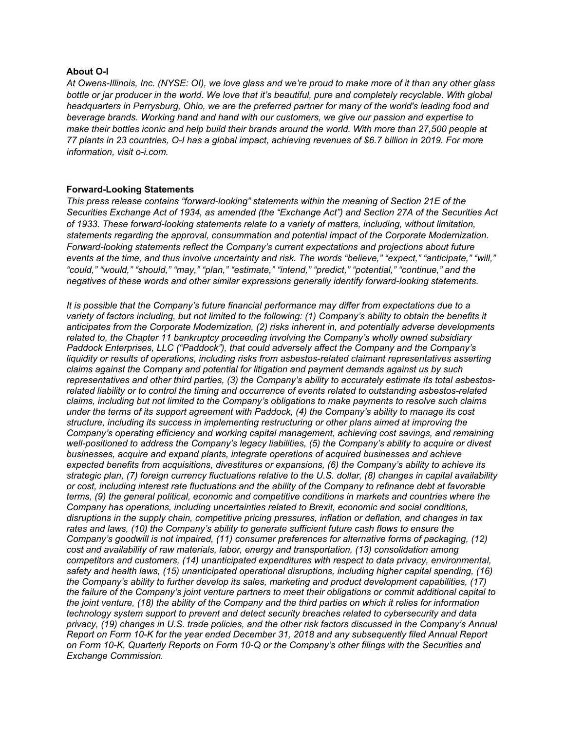## **About O-I**

*At Owens-Illinois, Inc. (NYSE: OI), we love glass and we're proud to make more of it than any other glass*  bottle or jar producer in the world. We love that it's beautiful, pure and completely recyclable. With global *headquarters in Perrysburg, Ohio, we are the preferred partner for many of the world's leading food and beverage brands. Working hand and hand with our customers, we give our passion and expertise to make their bottles iconic and help build their brands around the world. With more than 27,500 people at 77 plants in 23 countries, O-I has a global impact, achieving revenues of \$6.7 billion in 2019. For more information, visit o-i.com.* 

## **Forward-Looking Statements**

*This press release contains "forward-looking" statements within the meaning of Section 21E of the Securities Exchange Act of 1934, as amended (the "Exchange Act") and Section 27A of the Securities Act of 1933. These forward-looking statements relate to a variety of matters, including, without limitation, statements regarding the approval, consummation and potential impact of the Corporate Modernization. Forward-looking statements reflect the Company's current expectations and projections about future events at the time, and thus involve uncertainty and risk. The words "believe," "expect," "anticipate," "will," "could," "would," "should," "may," "plan," "estimate," "intend," "predict," "potential," "continue," and the negatives of these words and other similar expressions generally identify forward-looking statements.* 

*It is possible that the Company's future financial performance may differ from expectations due to a variety of factors including, but not limited to the following: (1) Company's ability to obtain the benefits it anticipates from the Corporate Modernization, (2) risks inherent in, and potentially adverse developments related to, the Chapter 11 bankruptcy proceeding involving the Company's wholly owned subsidiary Paddock Enterprises, LLC ("Paddock"), that could adversely affect the Company and the Company's liquidity or results of operations, including risks from asbestos-related claimant representatives asserting claims against the Company and potential for litigation and payment demands against us by such representatives and other third parties, (3) the Company's ability to accurately estimate its total asbestosrelated liability or to control the timing and occurrence of events related to outstanding asbestos-related claims, including but not limited to the Company's obligations to make payments to resolve such claims under the terms of its support agreement with Paddock, (4) the Company's ability to manage its cost structure, including its success in implementing restructuring or other plans aimed at improving the Company's operating efficiency and working capital management, achieving cost savings, and remaining well-positioned to address the Company's legacy liabilities, (5) the Company's ability to acquire or divest businesses, acquire and expand plants, integrate operations of acquired businesses and achieve expected benefits from acquisitions, divestitures or expansions, (6) the Company's ability to achieve its strategic plan, (7) foreign currency fluctuations relative to the U.S. dollar, (8) changes in capital availability or cost, including interest rate fluctuations and the ability of the Company to refinance debt at favorable terms, (9) the general political, economic and competitive conditions in markets and countries where the Company has operations, including uncertainties related to Brexit, economic and social conditions, disruptions in the supply chain, competitive pricing pressures, inflation or deflation, and changes in tax rates and laws, (10) the Company's ability to generate sufficient future cash flows to ensure the Company's goodwill is not impaired, (11) consumer preferences for alternative forms of packaging, (12) cost and availability of raw materials, labor, energy and transportation, (13) consolidation among competitors and customers, (14) unanticipated expenditures with respect to data privacy, environmental, safety and health laws, (15) unanticipated operational disruptions, including higher capital spending, (16) the Company's ability to further develop its sales, marketing and product development capabilities, (17) the failure of the Company's joint venture partners to meet their obligations or commit additional capital to the joint venture, (18) the ability of the Company and the third parties on which it relies for information technology system support to prevent and detect security breaches related to cybersecurity and data privacy, (19) changes in U.S. trade policies, and the other risk factors discussed in the Company's Annual Report on Form 10-K for the year ended December 31, 2018 and any subsequently filed Annual Report on Form 10-K, Quarterly Reports on Form 10-Q or the Company's other filings with the Securities and Exchange Commission.*